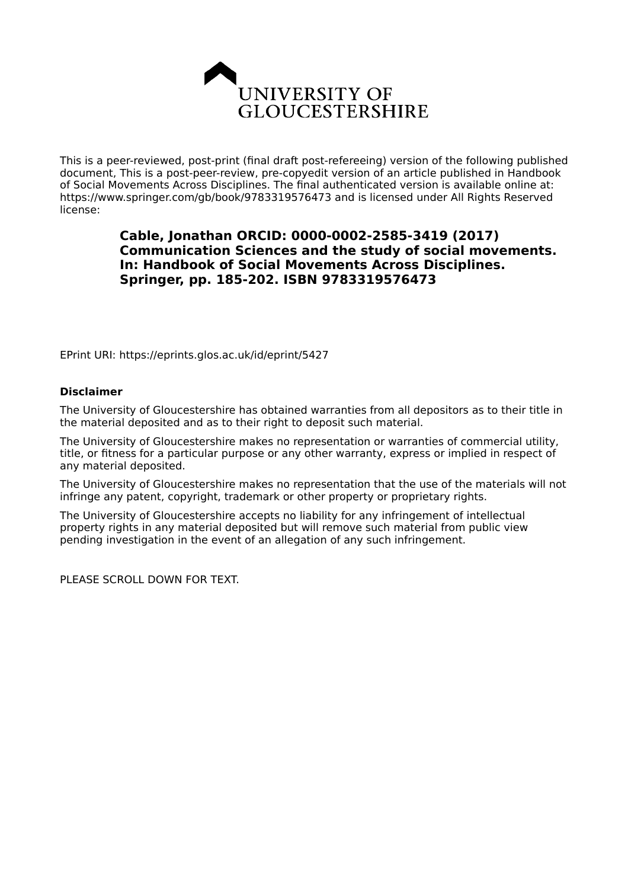

This is a peer-reviewed, post-print (final draft post-refereeing) version of the following published document, This is a post-peer-review, pre-copyedit version of an article published in Handbook of Social Movements Across Disciplines. The final authenticated version is available online at: https://www.springer.com/gb/book/9783319576473 and is licensed under All Rights Reserved license:

## **Cable, Jonathan ORCID: 0000-0002-2585-3419 (2017) Communication Sciences and the study of social movements. In: Handbook of Social Movements Across Disciplines. Springer, pp. 185-202. ISBN 9783319576473**

EPrint URI: https://eprints.glos.ac.uk/id/eprint/5427

#### **Disclaimer**

The University of Gloucestershire has obtained warranties from all depositors as to their title in the material deposited and as to their right to deposit such material.

The University of Gloucestershire makes no representation or warranties of commercial utility, title, or fitness for a particular purpose or any other warranty, express or implied in respect of any material deposited.

The University of Gloucestershire makes no representation that the use of the materials will not infringe any patent, copyright, trademark or other property or proprietary rights.

The University of Gloucestershire accepts no liability for any infringement of intellectual property rights in any material deposited but will remove such material from public view pending investigation in the event of an allegation of any such infringement.

PLEASE SCROLL DOWN FOR TEXT.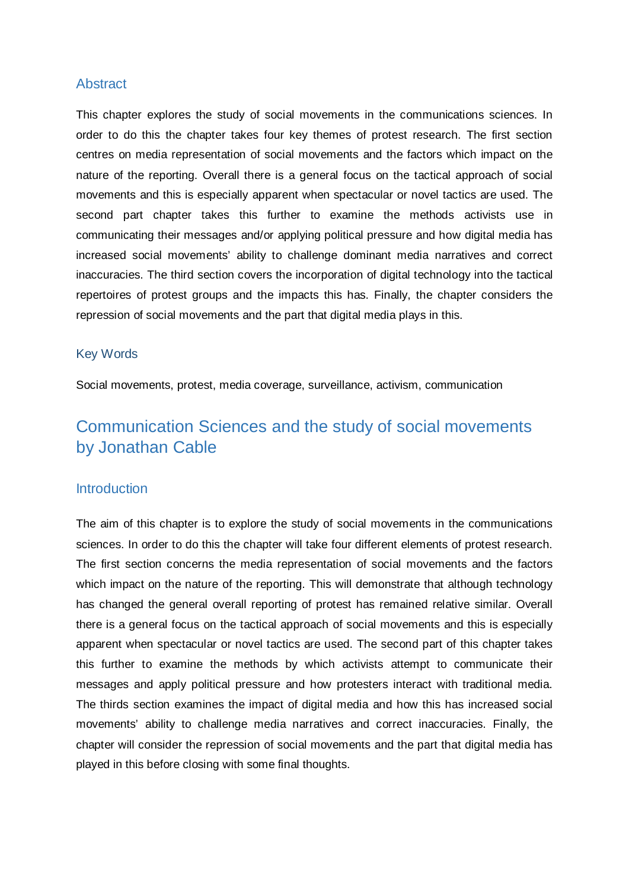# Abstract

This chapter explores the study of social movements in the communications sciences. In order to do this the chapter takes four key themes of protest research. The first section centres on media representation of social movements and the factors which impact on the nature of the reporting. Overall there is a general focus on the tactical approach of social movements and this is especially apparent when spectacular or novel tactics are used. The second part chapter takes this further to examine the methods activists use in communicating their messages and/or applying political pressure and how digital media has increased social movements' ability to challenge dominant media narratives and correct inaccuracies. The third section covers the incorporation of digital technology into the tactical repertoires of protest groups and the impacts this has. Finally, the chapter considers the repression of social movements and the part that digital media plays in this.

#### Key Words

Social movements, protest, media coverage, surveillance, activism, communication

# Communication Sciences and the study of social movements by Jonathan Cable

## **Introduction**

The aim of this chapter is to explore the study of social movements in the communications sciences. In order to do this the chapter will take four different elements of protest research. The first section concerns the media representation of social movements and the factors which impact on the nature of the reporting. This will demonstrate that although technology has changed the general overall reporting of protest has remained relative similar. Overall there is a general focus on the tactical approach of social movements and this is especially apparent when spectacular or novel tactics are used. The second part of this chapter takes this further to examine the methods by which activists attempt to communicate their messages and apply political pressure and how protesters interact with traditional media. The thirds section examines the impact of digital media and how this has increased social movements' ability to challenge media narratives and correct inaccuracies. Finally, the chapter will consider the repression of social movements and the part that digital media has played in this before closing with some final thoughts.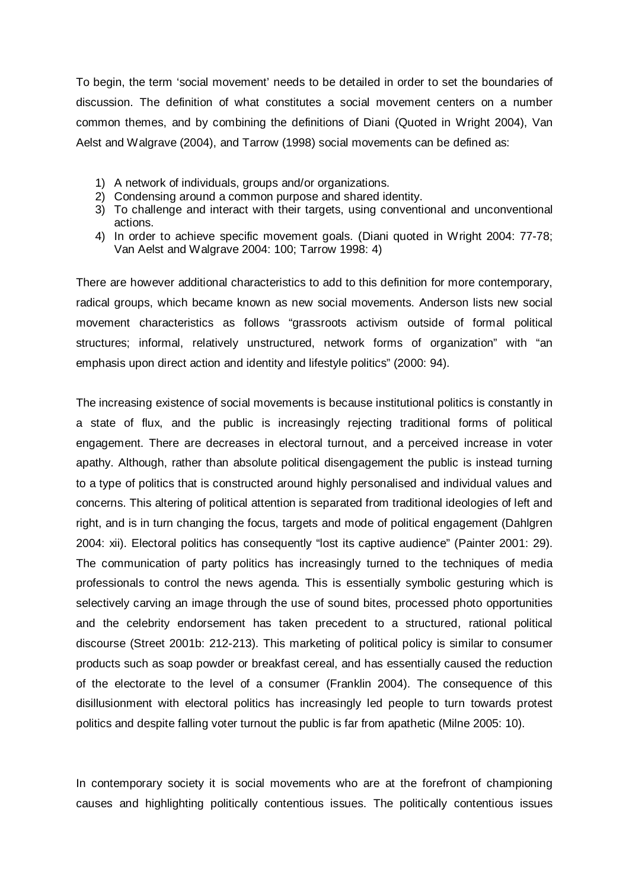To begin, the term 'social movement' needs to be detailed in order to set the boundaries of discussion. The definition of what constitutes a social movement centers on a number common themes, and by combining the definitions of Diani (Quoted in Wright 2004), Van Aelst and Walgrave (2004), and Tarrow (1998) social movements can be defined as:

- 1) A network of individuals, groups and/or organizations.
- 2) Condensing around a common purpose and shared identity.
- 3) To challenge and interact with their targets, using conventional and unconventional actions.
- 4) In order to achieve specific movement goals. (Diani quoted in Wright 2004: 77-78; Van Aelst and Walgrave 2004: 100; Tarrow 1998: 4)

There are however additional characteristics to add to this definition for more contemporary, radical groups, which became known as new social movements. Anderson lists new social movement characteristics as follows "grassroots activism outside of formal political structures; informal, relatively unstructured, network forms of organization" with "an emphasis upon direct action and identity and lifestyle politics" (2000: 94).

The increasing existence of social movements is because institutional politics is constantly in a state of flux, and the public is increasingly rejecting traditional forms of political engagement. There are decreases in electoral turnout, and a perceived increase in voter apathy. Although, rather than absolute political disengagement the public is instead turning to a type of politics that is constructed around highly personalised and individual values and concerns. This altering of political attention is separated from traditional ideologies of left and right, and is in turn changing the focus, targets and mode of political engagement (Dahlgren 2004: xii). Electoral politics has consequently "lost its captive audience" (Painter 2001: 29). The communication of party politics has increasingly turned to the techniques of media professionals to control the news agenda. This is essentially symbolic gesturing which is selectively carving an image through the use of sound bites, processed photo opportunities and the celebrity endorsement has taken precedent to a structured, rational political discourse (Street 2001b: 212-213). This marketing of political policy is similar to consumer products such as soap powder or breakfast cereal, and has essentially caused the reduction of the electorate to the level of a consumer (Franklin 2004). The consequence of this disillusionment with electoral politics has increasingly led people to turn towards protest politics and despite falling voter turnout the public is far from apathetic (Milne 2005: 10).

In contemporary society it is social movements who are at the forefront of championing causes and highlighting politically contentious issues. The politically contentious issues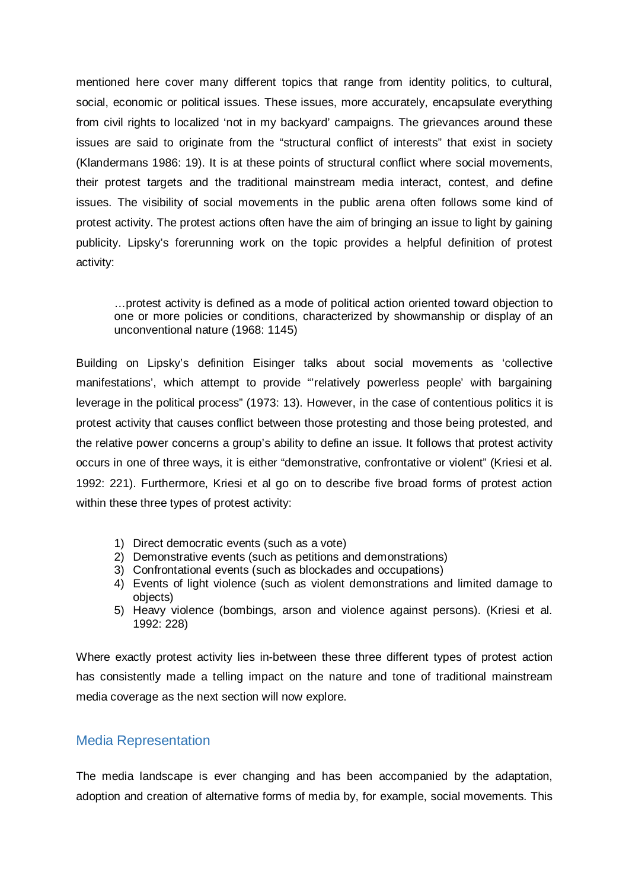mentioned here cover many different topics that range from identity politics, to cultural, social, economic or political issues. These issues, more accurately, encapsulate everything from civil rights to localized 'not in my backyard' campaigns. The grievances around these issues are said to originate from the "structural conflict of interests" that exist in society (Klandermans 1986: 19). It is at these points of structural conflict where social movements, their protest targets and the traditional mainstream media interact, contest, and define issues. The visibility of social movements in the public arena often follows some kind of protest activity. The protest actions often have the aim of bringing an issue to light by gaining publicity. Lipsky's forerunning work on the topic provides a helpful definition of protest activity:

…protest activity is defined as a mode of political action oriented toward objection to one or more policies or conditions, characterized by showmanship or display of an unconventional nature (1968: 1145)

Building on Lipsky's definition Eisinger talks about social movements as 'collective manifestations', which attempt to provide "'relatively powerless people' with bargaining leverage in the political process" (1973: 13). However, in the case of contentious politics it is protest activity that causes conflict between those protesting and those being protested, and the relative power concerns a group's ability to define an issue. It follows that protest activity occurs in one of three ways, it is either "demonstrative, confrontative or violent" (Kriesi et al. 1992: 221). Furthermore, Kriesi et al go on to describe five broad forms of protest action within these three types of protest activity:

- 1) Direct democratic events (such as a vote)
- 2) Demonstrative events (such as petitions and demonstrations)
- 3) Confrontational events (such as blockades and occupations)
- 4) Events of light violence (such as violent demonstrations and limited damage to objects)
- 5) Heavy violence (bombings, arson and violence against persons). (Kriesi et al. 1992: 228)

Where exactly protest activity lies in-between these three different types of protest action has consistently made a telling impact on the nature and tone of traditional mainstream media coverage as the next section will now explore.

#### Media Representation

The media landscape is ever changing and has been accompanied by the adaptation, adoption and creation of alternative forms of media by, for example, social movements. This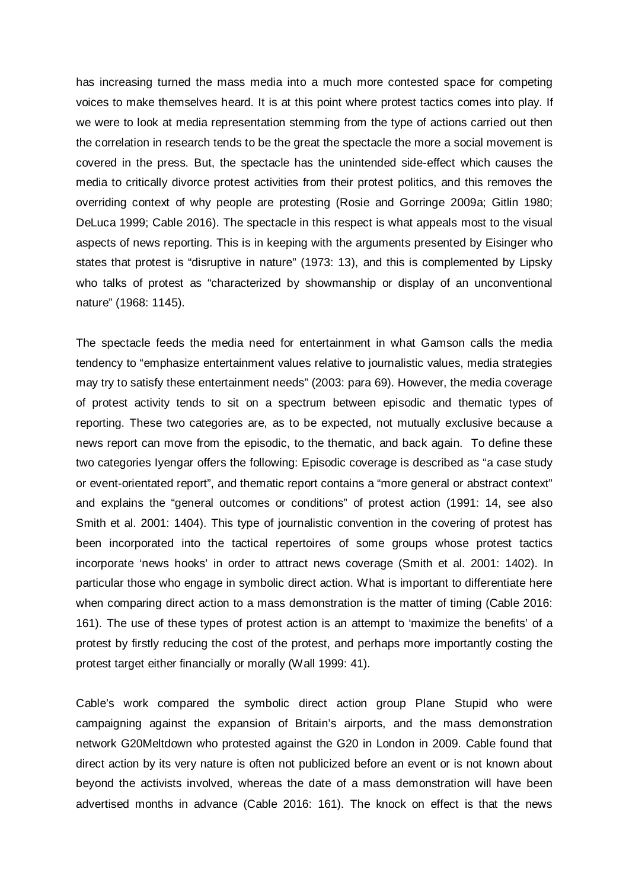has increasing turned the mass media into a much more contested space for competing voices to make themselves heard. It is at this point where protest tactics comes into play. If we were to look at media representation stemming from the type of actions carried out then the correlation in research tends to be the great the spectacle the more a social movement is covered in the press. But, the spectacle has the unintended side-effect which causes the media to critically divorce protest activities from their protest politics, and this removes the overriding context of why people are protesting (Rosie and Gorringe 2009a; Gitlin 1980; DeLuca 1999; Cable 2016). The spectacle in this respect is what appeals most to the visual aspects of news reporting. This is in keeping with the arguments presented by Eisinger who states that protest is "disruptive in nature" (1973: 13), and this is complemented by Lipsky who talks of protest as "characterized by showmanship or display of an unconventional nature" (1968: 1145).

The spectacle feeds the media need for entertainment in what Gamson calls the media tendency to "emphasize entertainment values relative to journalistic values, media strategies may try to satisfy these entertainment needs" (2003: para 69). However, the media coverage of protest activity tends to sit on a spectrum between episodic and thematic types of reporting. These two categories are, as to be expected, not mutually exclusive because a news report can move from the episodic, to the thematic, and back again. To define these two categories Iyengar offers the following: Episodic coverage is described as "a case study or event-orientated report", and thematic report contains a "more general or abstract context" and explains the "general outcomes or conditions" of protest action (1991: 14, see also Smith et al. 2001: 1404). This type of journalistic convention in the covering of protest has been incorporated into the tactical repertoires of some groups whose protest tactics incorporate 'news hooks' in order to attract news coverage (Smith et al. 2001: 1402). In particular those who engage in symbolic direct action. What is important to differentiate here when comparing direct action to a mass demonstration is the matter of timing (Cable 2016: 161). The use of these types of protest action is an attempt to 'maximize the benefits' of a protest by firstly reducing the cost of the protest, and perhaps more importantly costing the protest target either financially or morally (Wall 1999: 41).

Cable's work compared the symbolic direct action group Plane Stupid who were campaigning against the expansion of Britain's airports, and the mass demonstration network G20Meltdown who protested against the G20 in London in 2009. Cable found that direct action by its very nature is often not publicized before an event or is not known about beyond the activists involved, whereas the date of a mass demonstration will have been advertised months in advance (Cable 2016: 161). The knock on effect is that the news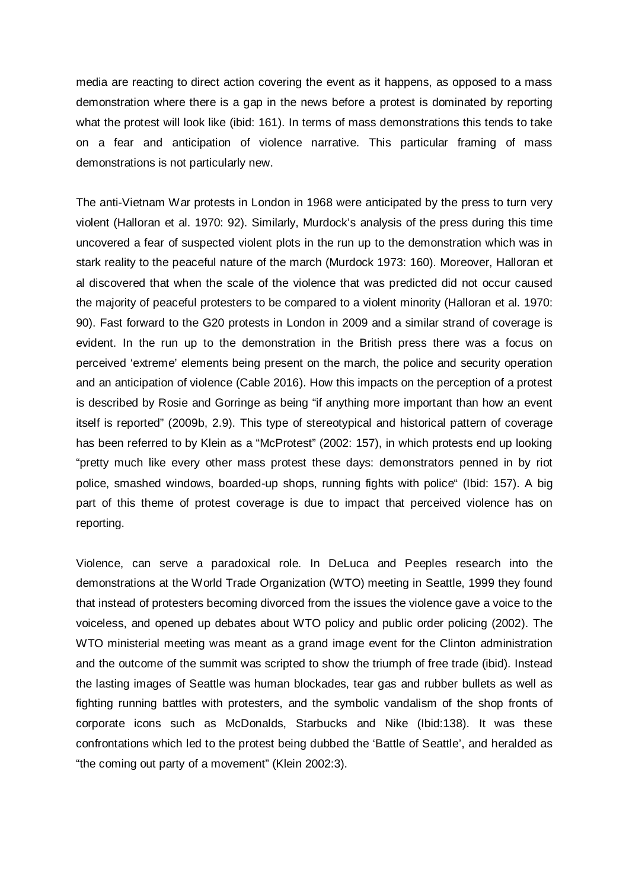media are reacting to direct action covering the event as it happens, as opposed to a mass demonstration where there is a gap in the news before a protest is dominated by reporting what the protest will look like (ibid: 161). In terms of mass demonstrations this tends to take on a fear and anticipation of violence narrative. This particular framing of mass demonstrations is not particularly new.

The anti-Vietnam War protests in London in 1968 were anticipated by the press to turn very violent (Halloran et al. 1970: 92). Similarly, Murdock's analysis of the press during this time uncovered a fear of suspected violent plots in the run up to the demonstration which was in stark reality to the peaceful nature of the march (Murdock 1973: 160). Moreover, Halloran et al discovered that when the scale of the violence that was predicted did not occur caused the majority of peaceful protesters to be compared to a violent minority (Halloran et al. 1970: 90). Fast forward to the G20 protests in London in 2009 and a similar strand of coverage is evident. In the run up to the demonstration in the British press there was a focus on perceived 'extreme' elements being present on the march, the police and security operation and an anticipation of violence (Cable 2016). How this impacts on the perception of a protest is described by Rosie and Gorringe as being "if anything more important than how an event itself is reported" (2009b, 2.9). This type of stereotypical and historical pattern of coverage has been referred to by Klein as a "McProtest" (2002: 157), in which protests end up looking "pretty much like every other mass protest these days: demonstrators penned in by riot police, smashed windows, boarded-up shops, running fights with police" (Ibid: 157). A big part of this theme of protest coverage is due to impact that perceived violence has on reporting.

Violence, can serve a paradoxical role. In DeLuca and Peeples research into the demonstrations at the World Trade Organization (WTO) meeting in Seattle, 1999 they found that instead of protesters becoming divorced from the issues the violence gave a voice to the voiceless, and opened up debates about WTO policy and public order policing (2002). The WTO ministerial meeting was meant as a grand image event for the Clinton administration and the outcome of the summit was scripted to show the triumph of free trade (ibid). Instead the lasting images of Seattle was human blockades, tear gas and rubber bullets as well as fighting running battles with protesters, and the symbolic vandalism of the shop fronts of corporate icons such as McDonalds, Starbucks and Nike (Ibid:138). It was these confrontations which led to the protest being dubbed the 'Battle of Seattle', and heralded as "the coming out party of a movement" (Klein 2002:3).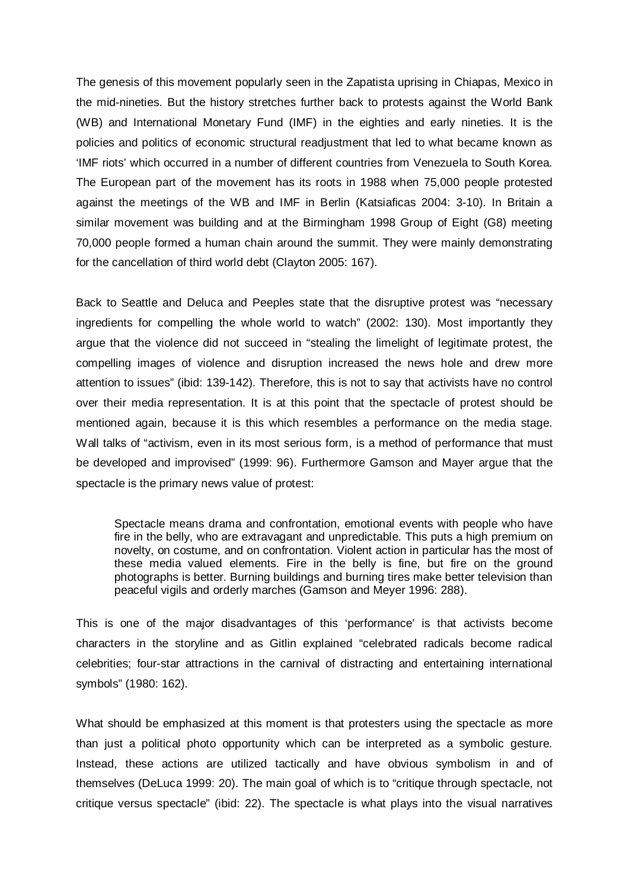The genesis of this movement popularly seen in the Zapatista uprising in Chiapas, Mexico in the mid-nineties. But the history stretches further back to protests against the World Bank (WB) and International Monetary Fund (IMF) in the eighties and early nineties. It is the policies and politics of economic structural readjustment that led to what became known as 'IMF riots' which occurred in a number of different countries from Venezuela to South Korea. The European part of the movement has its roots in 1988 when 75,000 people protested against the meetings of the WB and IMF in Berlin (Katsiaficas 2004: 3-10). In Britain a similar movement was building and at the Birmingham 1998 Group of Eight (G8) meeting 70,000 people formed a human chain around the summit. They were mainly demonstrating for the cancellation of third world debt (Clayton 2005: 167).

Back to Seattle and Deluca and Peeples state that the disruptive protest was "necessary ingredients for compelling the whole world to watch" (2002: 130). Most importantly they argue that the violence did not succeed in "stealing the limelight of legitimate protest, the compelling images of violence and disruption increased the news hole and drew more attention to issues" (ibid: 139-142). Therefore, this is not to say that activists have no control over their media representation. It is at this point that the spectacle of protest should be mentioned again, because it is this which resembles a performance on the media stage. Wall talks of "activism, even in its most serious form, is a method of performance that must be developed and improvised" (1999: 96). Furthermore Gamson and Mayer argue that the spectacle is the primary news value of protest:

Spectacle means drama and confrontation, emotional events with people who have fire in the belly, who are extravagant and unpredictable. This puts a high premium on novelty, on costume, and on confrontation. Violent action in particular has the most of these media valued elements. Fire in the belly is fine, but fire on the ground photographs is better. Burning buildings and burning tires make better television than peaceful vigils and orderly marches (Gamson and Meyer 1996: 288).

This is one of the major disadvantages of this 'performance' is that activists become characters in the storyline and as Gitlin explained "celebrated radicals become radical celebrities; four-star attractions in the carnival of distracting and entertaining international symbols" (1980: 162).

What should be emphasized at this moment is that protesters using the spectacle as more than just a political photo opportunity which can be interpreted as a symbolic gesture. Instead, these actions are utilized tactically and have obvious symbolism in and of themselves (DeLuca 1999: 20). The main goal of which is to "critique through spectacle, not critique versus spectacle" (ibid: 22). The spectacle is what plays into the visual narratives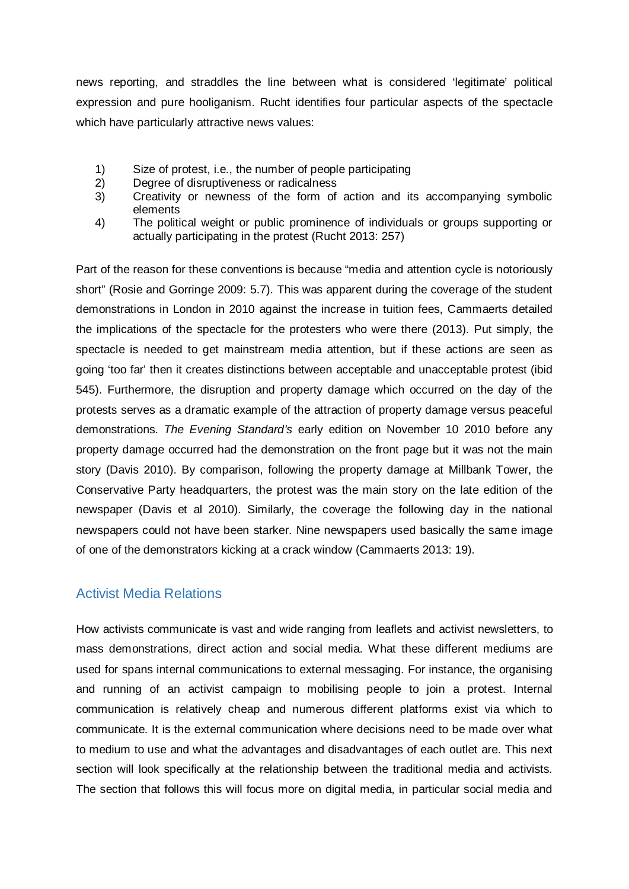news reporting, and straddles the line between what is considered 'legitimate' political expression and pure hooliganism. Rucht identifies four particular aspects of the spectacle which have particularly attractive news values:

- 1) Size of protest, i.e., the number of people participating<br>2) Degree of disruptiveness or radicalness
- 2) Degree of disruptiveness or radicalness
- 3) Creativity or newness of the form of action and its accompanying symbolic elements
- 4) The political weight or public prominence of individuals or groups supporting or actually participating in the protest (Rucht 2013: 257)

Part of the reason for these conventions is because "media and attention cycle is notoriously short" (Rosie and Gorringe 2009: 5.7). This was apparent during the coverage of the student demonstrations in London in 2010 against the increase in tuition fees, Cammaerts detailed the implications of the spectacle for the protesters who were there (2013). Put simply, the spectacle is needed to get mainstream media attention, but if these actions are seen as going 'too far' then it creates distinctions between acceptable and unacceptable protest (ibid 545). Furthermore, the disruption and property damage which occurred on the day of the protests serves as a dramatic example of the attraction of property damage versus peaceful demonstrations. *The Evening Standard's* early edition on November 10 2010 before any property damage occurred had the demonstration on the front page but it was not the main story (Davis 2010). By comparison, following the property damage at Millbank Tower, the Conservative Party headquarters, the protest was the main story on the late edition of the newspaper (Davis et al 2010). Similarly, the coverage the following day in the national newspapers could not have been starker. Nine newspapers used basically the same image of one of the demonstrators kicking at a crack window (Cammaerts 2013: 19).

# Activist Media Relations

How activists communicate is vast and wide ranging from leaflets and activist newsletters, to mass demonstrations, direct action and social media. What these different mediums are used for spans internal communications to external messaging. For instance, the organising and running of an activist campaign to mobilising people to join a protest. Internal communication is relatively cheap and numerous different platforms exist via which to communicate. It is the external communication where decisions need to be made over what to medium to use and what the advantages and disadvantages of each outlet are. This next section will look specifically at the relationship between the traditional media and activists. The section that follows this will focus more on digital media, in particular social media and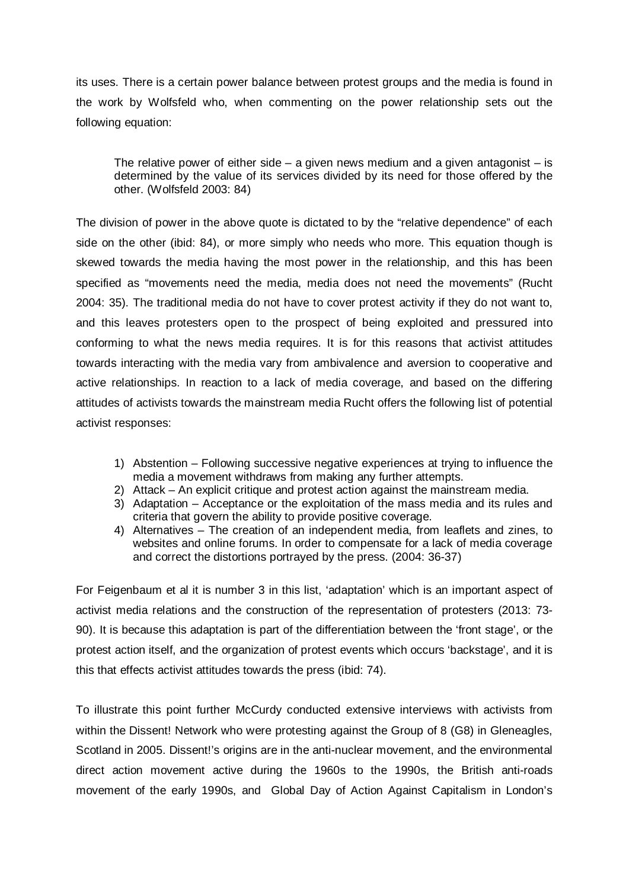its uses. There is a certain power balance between protest groups and the media is found in the work by Wolfsfeld who, when commenting on the power relationship sets out the following equation:

The relative power of either side  $-$  a given news medium and a given antagonist  $-$  is determined by the value of its services divided by its need for those offered by the other. (Wolfsfeld 2003: 84)

The division of power in the above quote is dictated to by the "relative dependence" of each side on the other (ibid: 84), or more simply who needs who more. This equation though is skewed towards the media having the most power in the relationship, and this has been specified as "movements need the media, media does not need the movements" (Rucht 2004: 35). The traditional media do not have to cover protest activity if they do not want to, and this leaves protesters open to the prospect of being exploited and pressured into conforming to what the news media requires. It is for this reasons that activist attitudes towards interacting with the media vary from ambivalence and aversion to cooperative and active relationships. In reaction to a lack of media coverage, and based on the differing attitudes of activists towards the mainstream media Rucht offers the following list of potential activist responses:

- 1) Abstention Following successive negative experiences at trying to influence the media a movement withdraws from making any further attempts.
- 2) Attack An explicit critique and protest action against the mainstream media.
- 3) Adaptation Acceptance or the exploitation of the mass media and its rules and criteria that govern the ability to provide positive coverage.
- 4) Alternatives The creation of an independent media, from leaflets and zines, to websites and online forums. In order to compensate for a lack of media coverage and correct the distortions portrayed by the press. (2004: 36-37)

For Feigenbaum et al it is number 3 in this list, 'adaptation' which is an important aspect of activist media relations and the construction of the representation of protesters (2013: 73- 90). It is because this adaptation is part of the differentiation between the 'front stage', or the protest action itself, and the organization of protest events which occurs 'backstage', and it is this that effects activist attitudes towards the press (ibid: 74).

To illustrate this point further McCurdy conducted extensive interviews with activists from within the Dissent! Network who were protesting against the Group of 8 (G8) in Gleneagles, Scotland in 2005. Dissent!'s origins are in the anti-nuclear movement, and the environmental direct action movement active during the 1960s to the 1990s, the British anti-roads movement of the early 1990s, and Global Day of Action Against Capitalism in London's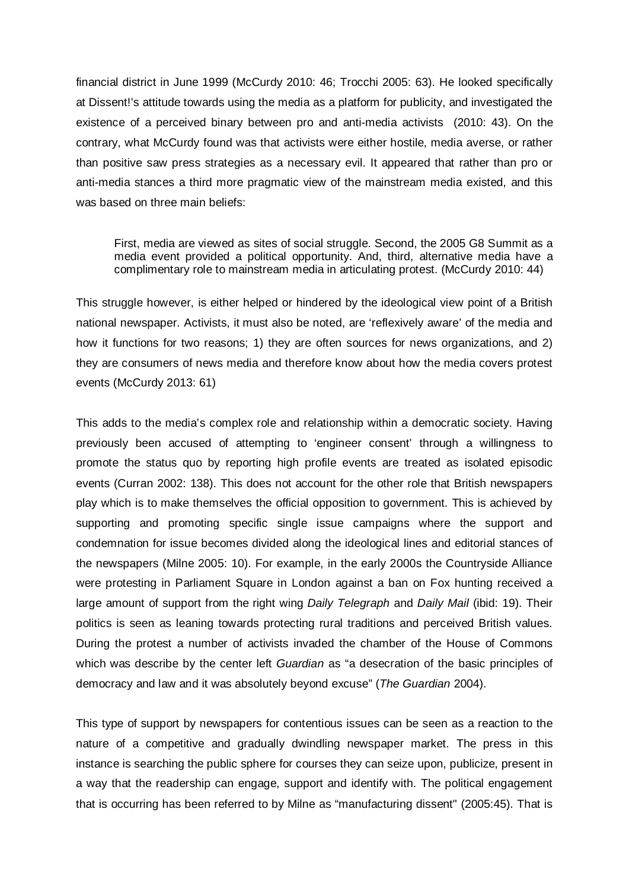financial district in June 1999 (McCurdy 2010: 46; Trocchi 2005: 63). He looked specifically at Dissent!'s attitude towards using the media as a platform for publicity, and investigated the existence of a perceived binary between pro and anti-media activists (2010: 43). On the contrary, what McCurdy found was that activists were either hostile, media averse, or rather than positive saw press strategies as a necessary evil. It appeared that rather than pro or anti-media stances a third more pragmatic view of the mainstream media existed, and this was based on three main beliefs:

First, media are viewed as sites of social struggle. Second, the 2005 G8 Summit as a media event provided a political opportunity. And, third, alternative media have a complimentary role to mainstream media in articulating protest. (McCurdy 2010: 44)

This struggle however, is either helped or hindered by the ideological view point of a British national newspaper. Activists, it must also be noted, are 'reflexively aware' of the media and how it functions for two reasons; 1) they are often sources for news organizations, and 2) they are consumers of news media and therefore know about how the media covers protest events (McCurdy 2013: 61)

This adds to the media's complex role and relationship within a democratic society. Having previously been accused of attempting to 'engineer consent' through a willingness to promote the status quo by reporting high profile events are treated as isolated episodic events (Curran 2002: 138). This does not account for the other role that British newspapers play which is to make themselves the official opposition to government. This is achieved by supporting and promoting specific single issue campaigns where the support and condemnation for issue becomes divided along the ideological lines and editorial stances of the newspapers (Milne 2005: 10). For example, in the early 2000s the Countryside Alliance were protesting in Parliament Square in London against a ban on Fox hunting received a large amount of support from the right wing *Daily Telegraph* and *Daily Mail* (ibid: 19). Their politics is seen as leaning towards protecting rural traditions and perceived British values. During the protest a number of activists invaded the chamber of the House of Commons which was describe by the center left *Guardian* as "a desecration of the basic principles of democracy and law and it was absolutely beyond excuse" (*The Guardian* 2004).

This type of support by newspapers for contentious issues can be seen as a reaction to the nature of a competitive and gradually dwindling newspaper market. The press in this instance is searching the public sphere for courses they can seize upon, publicize, present in a way that the readership can engage, support and identify with. The political engagement that is occurring has been referred to by Milne as "manufacturing dissent" (2005:45). That is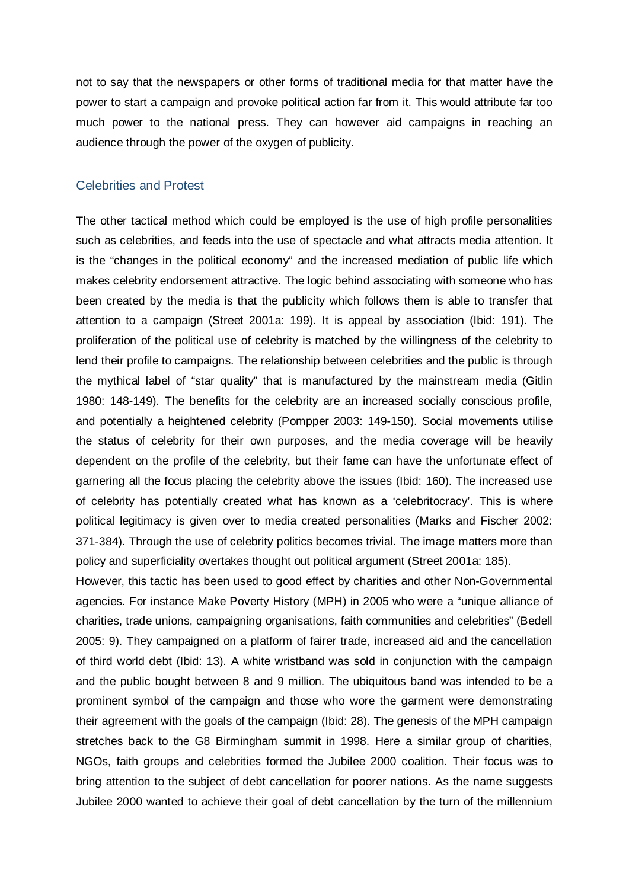not to say that the newspapers or other forms of traditional media for that matter have the power to start a campaign and provoke political action far from it. This would attribute far too much power to the national press. They can however aid campaigns in reaching an audience through the power of the oxygen of publicity.

#### Celebrities and Protest

The other tactical method which could be employed is the use of high profile personalities such as celebrities, and feeds into the use of spectacle and what attracts media attention. It is the "changes in the political economy" and the increased mediation of public life which makes celebrity endorsement attractive. The logic behind associating with someone who has been created by the media is that the publicity which follows them is able to transfer that attention to a campaign (Street 2001a: 199). It is appeal by association (Ibid: 191). The proliferation of the political use of celebrity is matched by the willingness of the celebrity to lend their profile to campaigns. The relationship between celebrities and the public is through the mythical label of "star quality" that is manufactured by the mainstream media (Gitlin 1980: 148-149). The benefits for the celebrity are an increased socially conscious profile, and potentially a heightened celebrity (Pompper 2003: 149-150). Social movements utilise the status of celebrity for their own purposes, and the media coverage will be heavily dependent on the profile of the celebrity, but their fame can have the unfortunate effect of garnering all the focus placing the celebrity above the issues (Ibid: 160). The increased use of celebrity has potentially created what has known as a 'celebritocracy'. This is where political legitimacy is given over to media created personalities (Marks and Fischer 2002: 371-384). Through the use of celebrity politics becomes trivial. The image matters more than policy and superficiality overtakes thought out political argument (Street 2001a: 185).

However, this tactic has been used to good effect by charities and other Non-Governmental agencies. For instance Make Poverty History (MPH) in 2005 who were a "unique alliance of charities, trade unions, campaigning organisations, faith communities and celebrities" (Bedell 2005: 9). They campaigned on a platform of fairer trade, increased aid and the cancellation of third world debt (Ibid: 13). A white wristband was sold in conjunction with the campaign and the public bought between 8 and 9 million. The ubiquitous band was intended to be a prominent symbol of the campaign and those who wore the garment were demonstrating their agreement with the goals of the campaign (Ibid: 28). The genesis of the MPH campaign stretches back to the G8 Birmingham summit in 1998. Here a similar group of charities, NGOs, faith groups and celebrities formed the Jubilee 2000 coalition. Their focus was to bring attention to the subject of debt cancellation for poorer nations. As the name suggests Jubilee 2000 wanted to achieve their goal of debt cancellation by the turn of the millennium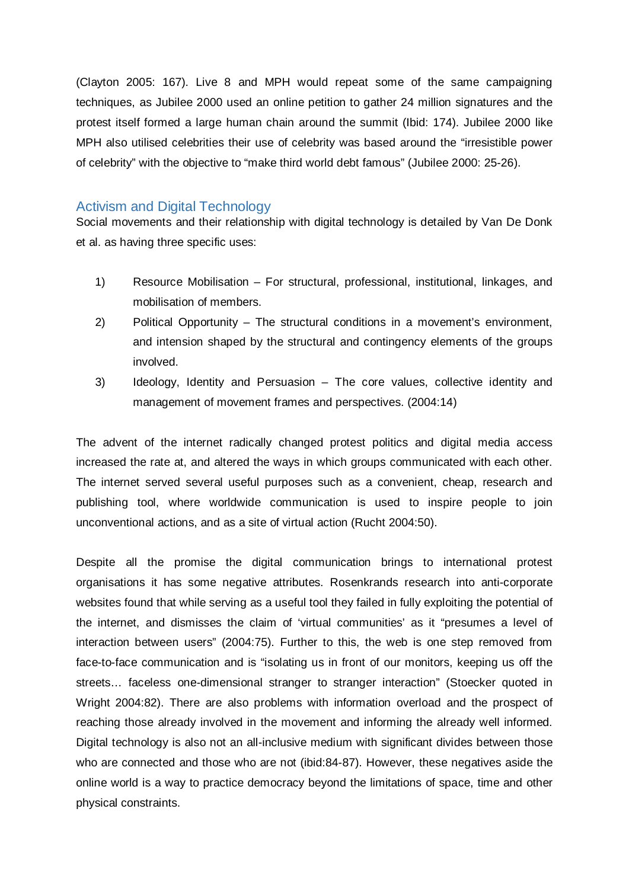(Clayton 2005: 167). Live 8 and MPH would repeat some of the same campaigning techniques, as Jubilee 2000 used an online petition to gather 24 million signatures and the protest itself formed a large human chain around the summit (Ibid: 174). Jubilee 2000 like MPH also utilised celebrities their use of celebrity was based around the "irresistible power of celebrity" with the objective to "make third world debt famous" (Jubilee 2000: 25-26).

### Activism and Digital Technology

Social movements and their relationship with digital technology is detailed by Van De Donk et al. as having three specific uses:

- 1) Resource Mobilisation For structural, professional, institutional, linkages, and mobilisation of members.
- 2) Political Opportunity The structural conditions in a movement's environment, and intension shaped by the structural and contingency elements of the groups involved.
- 3) Ideology, Identity and Persuasion The core values, collective identity and management of movement frames and perspectives. (2004:14)

The advent of the internet radically changed protest politics and digital media access increased the rate at, and altered the ways in which groups communicated with each other. The internet served several useful purposes such as a convenient, cheap, research and publishing tool, where worldwide communication is used to inspire people to join unconventional actions, and as a site of virtual action (Rucht 2004:50).

Despite all the promise the digital communication brings to international protest organisations it has some negative attributes. Rosenkrands research into anti-corporate websites found that while serving as a useful tool they failed in fully exploiting the potential of the internet, and dismisses the claim of 'virtual communities' as it "presumes a level of interaction between users" (2004:75). Further to this, the web is one step removed from face-to-face communication and is "isolating us in front of our monitors, keeping us off the streets… faceless one-dimensional stranger to stranger interaction" (Stoecker quoted in Wright 2004:82). There are also problems with information overload and the prospect of reaching those already involved in the movement and informing the already well informed. Digital technology is also not an all-inclusive medium with significant divides between those who are connected and those who are not (ibid:84-87). However, these negatives aside the online world is a way to practice democracy beyond the limitations of space, time and other physical constraints.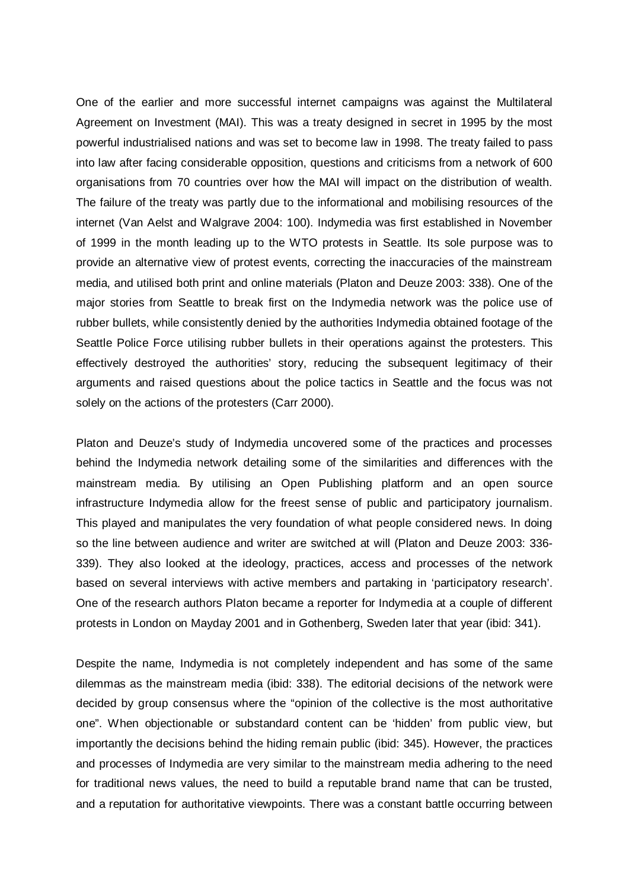One of the earlier and more successful internet campaigns was against the Multilateral Agreement on Investment (MAI). This was a treaty designed in secret in 1995 by the most powerful industrialised nations and was set to become law in 1998. The treaty failed to pass into law after facing considerable opposition, questions and criticisms from a network of 600 organisations from 70 countries over how the MAI will impact on the distribution of wealth. The failure of the treaty was partly due to the informational and mobilising resources of the internet (Van Aelst and Walgrave 2004: 100). Indymedia was first established in November of 1999 in the month leading up to the WTO protests in Seattle. Its sole purpose was to provide an alternative view of protest events, correcting the inaccuracies of the mainstream media, and utilised both print and online materials (Platon and Deuze 2003: 338). One of the major stories from Seattle to break first on the Indymedia network was the police use of rubber bullets, while consistently denied by the authorities Indymedia obtained footage of the Seattle Police Force utilising rubber bullets in their operations against the protesters. This effectively destroyed the authorities' story, reducing the subsequent legitimacy of their arguments and raised questions about the police tactics in Seattle and the focus was not solely on the actions of the protesters (Carr 2000).

Platon and Deuze's study of Indymedia uncovered some of the practices and processes behind the Indymedia network detailing some of the similarities and differences with the mainstream media. By utilising an Open Publishing platform and an open source infrastructure Indymedia allow for the freest sense of public and participatory journalism. This played and manipulates the very foundation of what people considered news. In doing so the line between audience and writer are switched at will (Platon and Deuze 2003: 336- 339). They also looked at the ideology, practices, access and processes of the network based on several interviews with active members and partaking in 'participatory research'. One of the research authors Platon became a reporter for Indymedia at a couple of different protests in London on Mayday 2001 and in Gothenberg, Sweden later that year (ibid: 341).

Despite the name, Indymedia is not completely independent and has some of the same dilemmas as the mainstream media (ibid: 338). The editorial decisions of the network were decided by group consensus where the "opinion of the collective is the most authoritative one". When objectionable or substandard content can be 'hidden' from public view, but importantly the decisions behind the hiding remain public (ibid: 345). However, the practices and processes of Indymedia are very similar to the mainstream media adhering to the need for traditional news values, the need to build a reputable brand name that can be trusted, and a reputation for authoritative viewpoints. There was a constant battle occurring between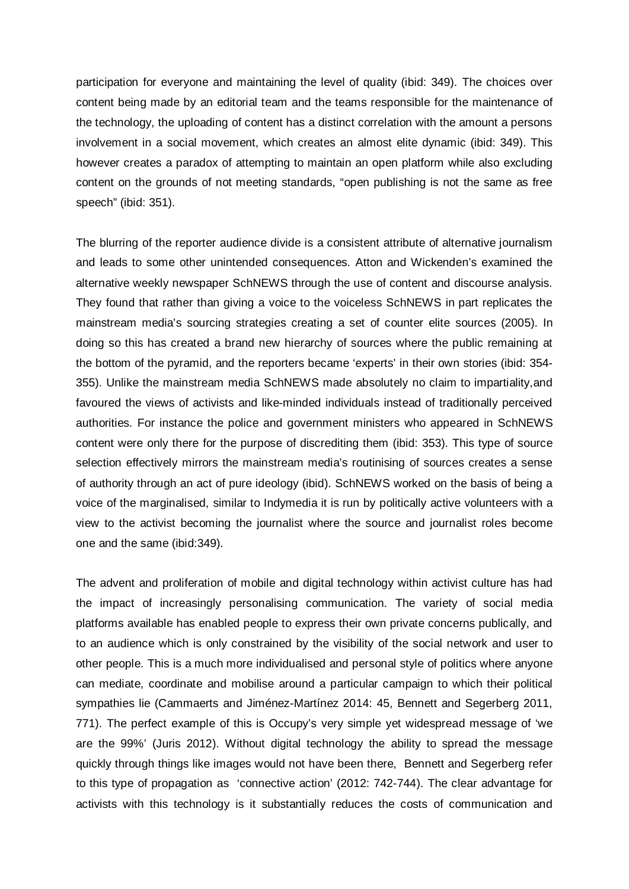participation for everyone and maintaining the level of quality (ibid: 349). The choices over content being made by an editorial team and the teams responsible for the maintenance of the technology, the uploading of content has a distinct correlation with the amount a persons involvement in a social movement, which creates an almost elite dynamic (ibid: 349). This however creates a paradox of attempting to maintain an open platform while also excluding content on the grounds of not meeting standards, "open publishing is not the same as free speech" (ibid: 351).

The blurring of the reporter audience divide is a consistent attribute of alternative journalism and leads to some other unintended consequences. Atton and Wickenden's examined the alternative weekly newspaper SchNEWS through the use of content and discourse analysis. They found that rather than giving a voice to the voiceless SchNEWS in part replicates the mainstream media's sourcing strategies creating a set of counter elite sources (2005). In doing so this has created a brand new hierarchy of sources where the public remaining at the bottom of the pyramid, and the reporters became 'experts' in their own stories (ibid: 354- 355). Unlike the mainstream media SchNEWS made absolutely no claim to impartiality,and favoured the views of activists and like-minded individuals instead of traditionally perceived authorities. For instance the police and government ministers who appeared in SchNEWS content were only there for the purpose of discrediting them (ibid: 353). This type of source selection effectively mirrors the mainstream media's routinising of sources creates a sense of authority through an act of pure ideology (ibid). SchNEWS worked on the basis of being a voice of the marginalised, similar to Indymedia it is run by politically active volunteers with a view to the activist becoming the journalist where the source and journalist roles become one and the same (ibid:349).

The advent and proliferation of mobile and digital technology within activist culture has had the impact of increasingly personalising communication. The variety of social media platforms available has enabled people to express their own private concerns publically, and to an audience which is only constrained by the visibility of the social network and user to other people. This is a much more individualised and personal style of politics where anyone can mediate, coordinate and mobilise around a particular campaign to which their political sympathies lie (Cammaerts and Jiménez-Martínez 2014: 45, Bennett and Segerberg 2011, 771). The perfect example of this is Occupy's very simple yet widespread message of 'we are the 99%' (Juris 2012). Without digital technology the ability to spread the message quickly through things like images would not have been there, Bennett and Segerberg refer to this type of propagation as 'connective action' (2012: 742-744). The clear advantage for activists with this technology is it substantially reduces the costs of communication and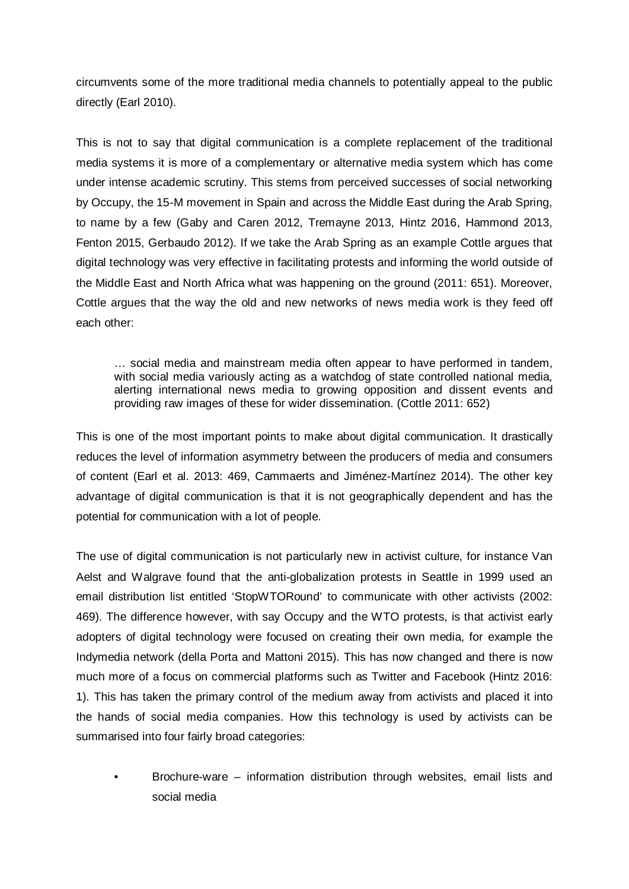circumvents some of the more traditional media channels to potentially appeal to the public directly (Earl 2010).

This is not to say that digital communication is a complete replacement of the traditional media systems it is more of a complementary or alternative media system which has come under intense academic scrutiny. This stems from perceived successes of social networking by Occupy, the 15-M movement in Spain and across the Middle East during the Arab Spring, to name by a few (Gaby and Caren 2012, Tremayne 2013, Hintz 2016, Hammond 2013, Fenton 2015, Gerbaudo 2012). If we take the Arab Spring as an example Cottle argues that digital technology was very effective in facilitating protests and informing the world outside of the Middle East and North Africa what was happening on the ground (2011: 651). Moreover, Cottle argues that the way the old and new networks of news media work is they feed off each other:

… social media and mainstream media often appear to have performed in tandem, with social media variously acting as a watchdog of state controlled national media, alerting international news media to growing opposition and dissent events and providing raw images of these for wider dissemination. (Cottle 2011: 652)

This is one of the most important points to make about digital communication. It drastically reduces the level of information asymmetry between the producers of media and consumers of content (Earl et al. 2013: 469, Cammaerts and Jiménez-Martínez 2014). The other key advantage of digital communication is that it is not geographically dependent and has the potential for communication with a lot of people.

The use of digital communication is not particularly new in activist culture, for instance Van Aelst and Walgrave found that the anti-globalization protests in Seattle in 1999 used an email distribution list entitled 'StopWTORound' to communicate with other activists (2002: 469). The difference however, with say Occupy and the WTO protests, is that activist early adopters of digital technology were focused on creating their own media, for example the Indymedia network (della Porta and Mattoni 2015). This has now changed and there is now much more of a focus on commercial platforms such as Twitter and Facebook (Hintz 2016: 1). This has taken the primary control of the medium away from activists and placed it into the hands of social media companies. How this technology is used by activists can be summarised into four fairly broad categories:

• Brochure-ware – information distribution through websites, email lists and social media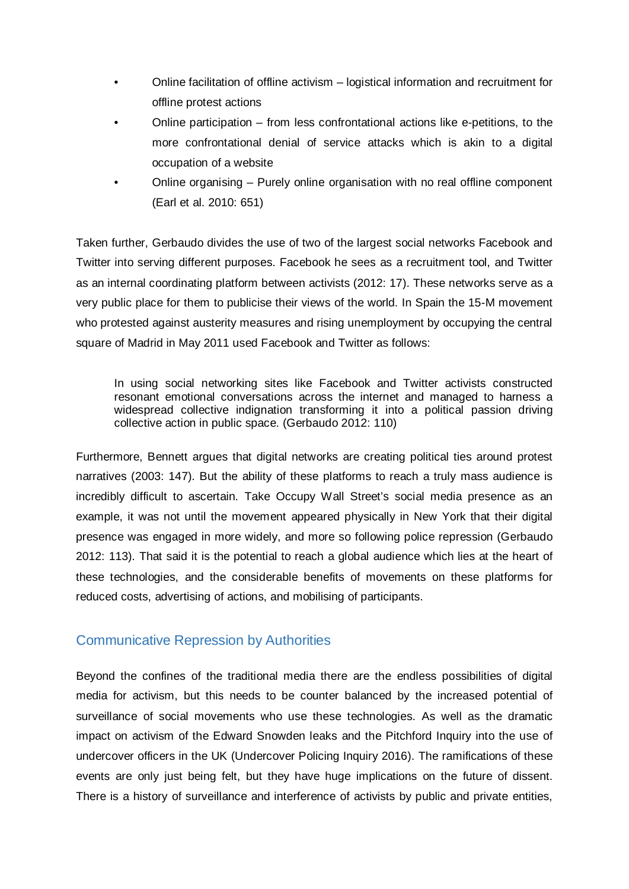- Online facilitation of offline activism logistical information and recruitment for offline protest actions
- Online participation from less confrontational actions like e-petitions, to the more confrontational denial of service attacks which is akin to a digital occupation of a website
- Online organising Purely online organisation with no real offline component (Earl et al. 2010: 651)

Taken further, Gerbaudo divides the use of two of the largest social networks Facebook and Twitter into serving different purposes. Facebook he sees as a recruitment tool, and Twitter as an internal coordinating platform between activists (2012: 17). These networks serve as a very public place for them to publicise their views of the world. In Spain the 15-M movement who protested against austerity measures and rising unemployment by occupying the central square of Madrid in May 2011 used Facebook and Twitter as follows:

In using social networking sites like Facebook and Twitter activists constructed resonant emotional conversations across the internet and managed to harness a widespread collective indignation transforming it into a political passion driving collective action in public space. (Gerbaudo 2012: 110)

Furthermore, Bennett argues that digital networks are creating political ties around protest narratives (2003: 147). But the ability of these platforms to reach a truly mass audience is incredibly difficult to ascertain. Take Occupy Wall Street's social media presence as an example, it was not until the movement appeared physically in New York that their digital presence was engaged in more widely, and more so following police repression (Gerbaudo 2012: 113). That said it is the potential to reach a global audience which lies at the heart of these technologies, and the considerable benefits of movements on these platforms for reduced costs, advertising of actions, and mobilising of participants.

# Communicative Repression by Authorities

Beyond the confines of the traditional media there are the endless possibilities of digital media for activism, but this needs to be counter balanced by the increased potential of surveillance of social movements who use these technologies. As well as the dramatic impact on activism of the Edward Snowden leaks and the Pitchford Inquiry into the use of undercover officers in the UK (Undercover Policing Inquiry 2016). The ramifications of these events are only just being felt, but they have huge implications on the future of dissent. There is a history of surveillance and interference of activists by public and private entities,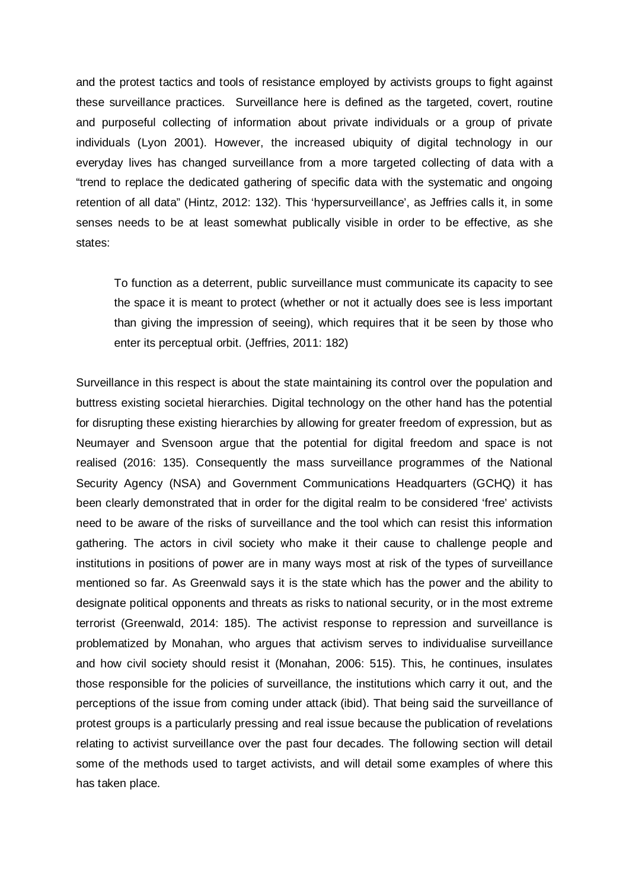and the protest tactics and tools of resistance employed by activists groups to fight against these surveillance practices. Surveillance here is defined as the targeted, covert, routine and purposeful collecting of information about private individuals or a group of private individuals (Lyon 2001). However, the increased ubiquity of digital technology in our everyday lives has changed surveillance from a more targeted collecting of data with a "trend to replace the dedicated gathering of specific data with the systematic and ongoing retention of all data" (Hintz, 2012: 132). This 'hypersurveillance', as Jeffries calls it, in some senses needs to be at least somewhat publically visible in order to be effective, as she states:

To function as a deterrent, public surveillance must communicate its capacity to see the space it is meant to protect (whether or not it actually does see is less important than giving the impression of seeing), which requires that it be seen by those who enter its perceptual orbit. (Jeffries, 2011: 182)

Surveillance in this respect is about the state maintaining its control over the population and buttress existing societal hierarchies. Digital technology on the other hand has the potential for disrupting these existing hierarchies by allowing for greater freedom of expression, but as Neumayer and Svensoon argue that the potential for digital freedom and space is not realised (2016: 135). Consequently the mass surveillance programmes of the National Security Agency (NSA) and Government Communications Headquarters (GCHQ) it has been clearly demonstrated that in order for the digital realm to be considered 'free' activists need to be aware of the risks of surveillance and the tool which can resist this information gathering. The actors in civil society who make it their cause to challenge people and institutions in positions of power are in many ways most at risk of the types of surveillance mentioned so far. As Greenwald says it is the state which has the power and the ability to designate political opponents and threats as risks to national security, or in the most extreme terrorist (Greenwald, 2014: 185). The activist response to repression and surveillance is problematized by Monahan, who argues that activism serves to individualise surveillance and how civil society should resist it (Monahan, 2006: 515). This, he continues, insulates those responsible for the policies of surveillance, the institutions which carry it out, and the perceptions of the issue from coming under attack (ibid). That being said the surveillance of protest groups is a particularly pressing and real issue because the publication of revelations relating to activist surveillance over the past four decades. The following section will detail some of the methods used to target activists, and will detail some examples of where this has taken place.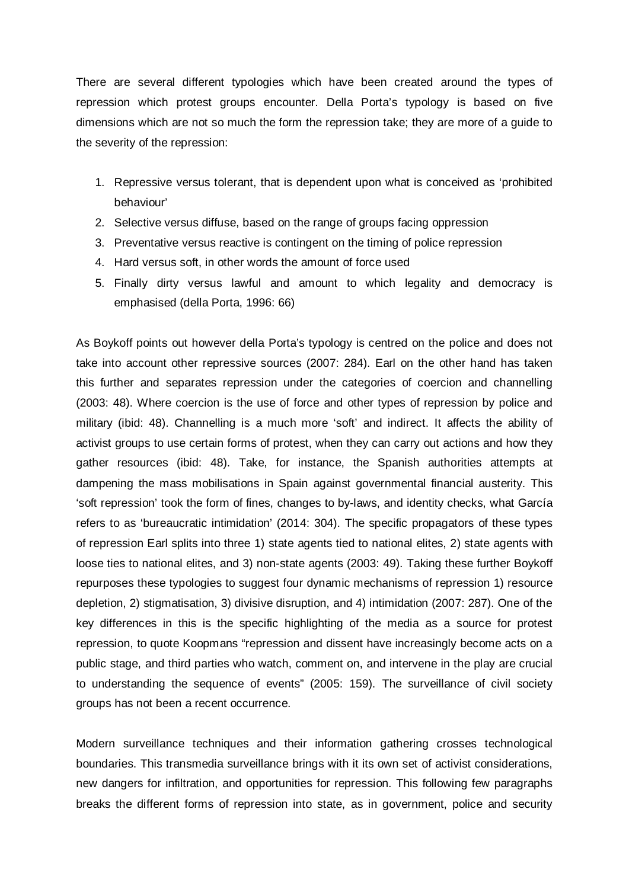There are several different typologies which have been created around the types of repression which protest groups encounter. Della Porta's typology is based on five dimensions which are not so much the form the repression take; they are more of a guide to the severity of the repression:

- 1. Repressive versus tolerant, that is dependent upon what is conceived as 'prohibited behaviour'
- 2. Selective versus diffuse, based on the range of groups facing oppression
- 3. Preventative versus reactive is contingent on the timing of police repression
- 4. Hard versus soft, in other words the amount of force used
- 5. Finally dirty versus lawful and amount to which legality and democracy is emphasised (della Porta, 1996: 66)

As Boykoff points out however della Porta's typology is centred on the police and does not take into account other repressive sources (2007: 284). Earl on the other hand has taken this further and separates repression under the categories of coercion and channelling (2003: 48). Where coercion is the use of force and other types of repression by police and military (ibid: 48). Channelling is a much more 'soft' and indirect. It affects the ability of activist groups to use certain forms of protest, when they can carry out actions and how they gather resources (ibid: 48). Take, for instance, the Spanish authorities attempts at dampening the mass mobilisations in Spain against governmental financial austerity. This 'soft repression' took the form of fines, changes to by-laws, and identity checks, what García refers to as 'bureaucratic intimidation' (2014: 304). The specific propagators of these types of repression Earl splits into three 1) state agents tied to national elites, 2) state agents with loose ties to national elites, and 3) non-state agents (2003: 49). Taking these further Boykoff repurposes these typologies to suggest four dynamic mechanisms of repression 1) resource depletion, 2) stigmatisation, 3) divisive disruption, and 4) intimidation (2007: 287). One of the key differences in this is the specific highlighting of the media as a source for protest repression, to quote Koopmans "repression and dissent have increasingly become acts on a public stage, and third parties who watch, comment on, and intervene in the play are crucial to understanding the sequence of events" (2005: 159). The surveillance of civil society groups has not been a recent occurrence.

Modern surveillance techniques and their information gathering crosses technological boundaries. This transmedia surveillance brings with it its own set of activist considerations, new dangers for infiltration, and opportunities for repression. This following few paragraphs breaks the different forms of repression into state, as in government, police and security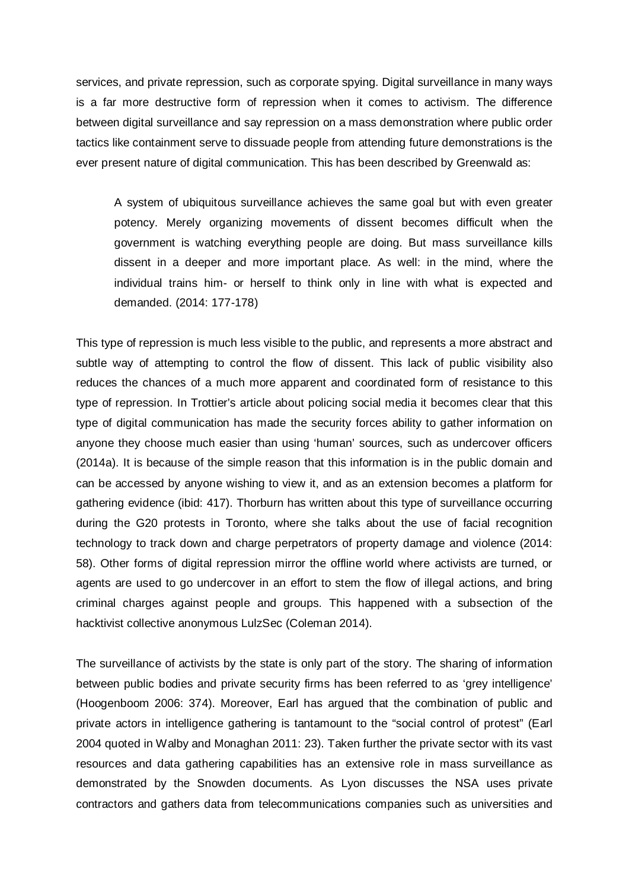services, and private repression, such as corporate spying. Digital surveillance in many ways is a far more destructive form of repression when it comes to activism. The difference between digital surveillance and say repression on a mass demonstration where public order tactics like containment serve to dissuade people from attending future demonstrations is the ever present nature of digital communication. This has been described by Greenwald as:

A system of ubiquitous surveillance achieves the same goal but with even greater potency. Merely organizing movements of dissent becomes difficult when the government is watching everything people are doing. But mass surveillance kills dissent in a deeper and more important place. As well: in the mind, where the individual trains him- or herself to think only in line with what is expected and demanded. (2014: 177-178)

This type of repression is much less visible to the public, and represents a more abstract and subtle way of attempting to control the flow of dissent. This lack of public visibility also reduces the chances of a much more apparent and coordinated form of resistance to this type of repression. In Trottier's article about policing social media it becomes clear that this type of digital communication has made the security forces ability to gather information on anyone they choose much easier than using 'human' sources, such as undercover officers (2014a). It is because of the simple reason that this information is in the public domain and can be accessed by anyone wishing to view it, and as an extension becomes a platform for gathering evidence (ibid: 417). Thorburn has written about this type of surveillance occurring during the G20 protests in Toronto, where she talks about the use of facial recognition technology to track down and charge perpetrators of property damage and violence (2014: 58). Other forms of digital repression mirror the offline world where activists are turned, or agents are used to go undercover in an effort to stem the flow of illegal actions, and bring criminal charges against people and groups. This happened with a subsection of the hacktivist collective anonymous LulzSec (Coleman 2014).

The surveillance of activists by the state is only part of the story. The sharing of information between public bodies and private security firms has been referred to as 'grey intelligence' (Hoogenboom 2006: 374). Moreover, Earl has argued that the combination of public and private actors in intelligence gathering is tantamount to the "social control of protest" (Earl 2004 quoted in Walby and Monaghan 2011: 23). Taken further the private sector with its vast resources and data gathering capabilities has an extensive role in mass surveillance as demonstrated by the Snowden documents. As Lyon discusses the NSA uses private contractors and gathers data from telecommunications companies such as universities and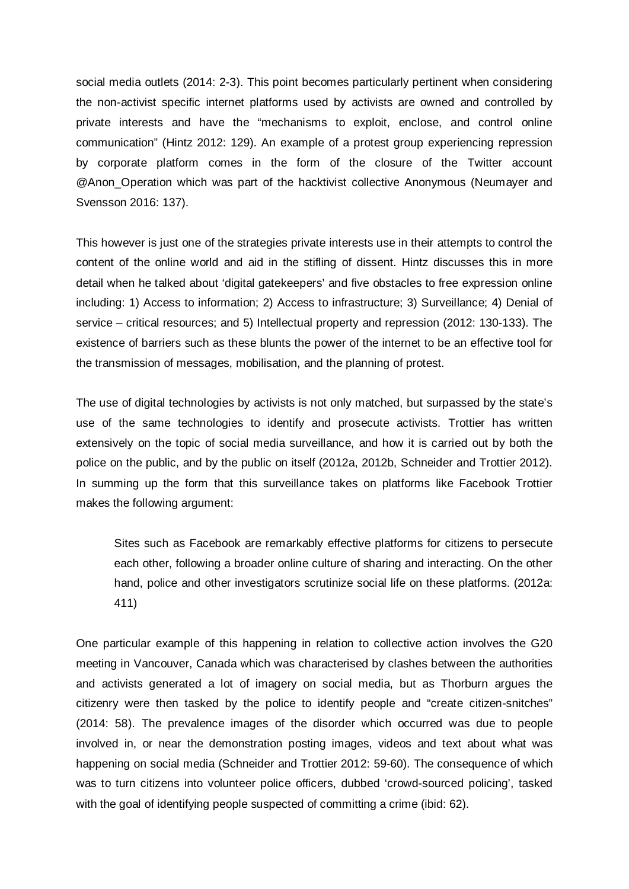social media outlets (2014: 2-3). This point becomes particularly pertinent when considering the non-activist specific internet platforms used by activists are owned and controlled by private interests and have the "mechanisms to exploit, enclose, and control online communication" (Hintz 2012: 129). An example of a protest group experiencing repression by corporate platform comes in the form of the closure of the Twitter account @Anon\_Operation which was part of the hacktivist collective Anonymous (Neumayer and Svensson 2016: 137).

This however is just one of the strategies private interests use in their attempts to control the content of the online world and aid in the stifling of dissent. Hintz discusses this in more detail when he talked about 'digital gatekeepers' and five obstacles to free expression online including: 1) Access to information; 2) Access to infrastructure; 3) Surveillance; 4) Denial of service – critical resources; and 5) Intellectual property and repression (2012: 130-133). The existence of barriers such as these blunts the power of the internet to be an effective tool for the transmission of messages, mobilisation, and the planning of protest.

The use of digital technologies by activists is not only matched, but surpassed by the state's use of the same technologies to identify and prosecute activists. Trottier has written extensively on the topic of social media surveillance, and how it is carried out by both the police on the public, and by the public on itself (2012a, 2012b, Schneider and Trottier 2012). In summing up the form that this surveillance takes on platforms like Facebook Trottier makes the following argument:

Sites such as Facebook are remarkably effective platforms for citizens to persecute each other, following a broader online culture of sharing and interacting. On the other hand, police and other investigators scrutinize social life on these platforms. (2012a: 411)

One particular example of this happening in relation to collective action involves the G20 meeting in Vancouver, Canada which was characterised by clashes between the authorities and activists generated a lot of imagery on social media, but as Thorburn argues the citizenry were then tasked by the police to identify people and "create citizen-snitches" (2014: 58). The prevalence images of the disorder which occurred was due to people involved in, or near the demonstration posting images, videos and text about what was happening on social media (Schneider and Trottier 2012: 59-60). The consequence of which was to turn citizens into volunteer police officers, dubbed 'crowd-sourced policing', tasked with the goal of identifying people suspected of committing a crime (ibid: 62).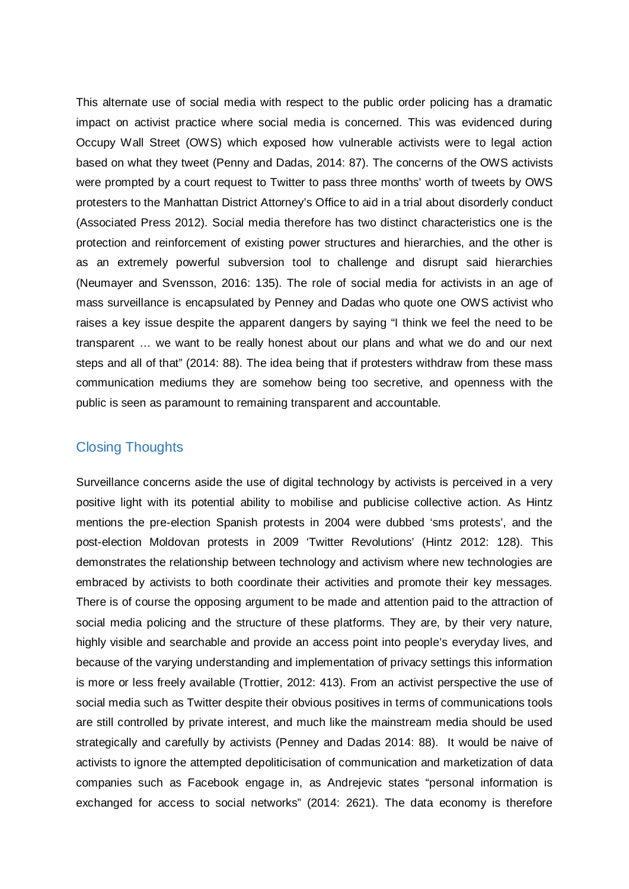This alternate use of social media with respect to the public order policing has a dramatic impact on activist practice where social media is concerned. This was evidenced during Occupy Wall Street (OWS) which exposed how vulnerable activists were to legal action based on what they tweet (Penny and Dadas, 2014: 87). The concerns of the OWS activists were prompted by a court request to Twitter to pass three months' worth of tweets by OWS protesters to the Manhattan District Attorney's Office to aid in a trial about disorderly conduct (Associated Press 2012). Social media therefore has two distinct characteristics one is the protection and reinforcement of existing power structures and hierarchies, and the other is as an extremely powerful subversion tool to challenge and disrupt said hierarchies (Neumayer and Svensson, 2016: 135). The role of social media for activists in an age of mass surveillance is encapsulated by Penney and Dadas who quote one OWS activist who raises a key issue despite the apparent dangers by saying "I think we feel the need to be transparent … we want to be really honest about our plans and what we do and our next steps and all of that" (2014: 88). The idea being that if protesters withdraw from these mass communication mediums they are somehow being too secretive, and openness with the public is seen as paramount to remaining transparent and accountable.

# Closing Thoughts

Surveillance concerns aside the use of digital technology by activists is perceived in a very positive light with its potential ability to mobilise and publicise collective action. As Hintz mentions the pre-election Spanish protests in 2004 were dubbed 'sms protests', and the post-election Moldovan protests in 2009 'Twitter Revolutions' (Hintz 2012: 128). This demonstrates the relationship between technology and activism where new technologies are embraced by activists to both coordinate their activities and promote their key messages. There is of course the opposing argument to be made and attention paid to the attraction of social media policing and the structure of these platforms. They are, by their very nature, highly visible and searchable and provide an access point into people's everyday lives, and because of the varying understanding and implementation of privacy settings this information is more or less freely available (Trottier, 2012: 413). From an activist perspective the use of social media such as Twitter despite their obvious positives in terms of communications tools are still controlled by private interest, and much like the mainstream media should be used strategically and carefully by activists (Penney and Dadas 2014: 88). It would be naive of activists to ignore the attempted depoliticisation of communication and marketization of data companies such as Facebook engage in, as Andrejevic states "personal information is exchanged for access to social networks" (2014: 2621). The data economy is therefore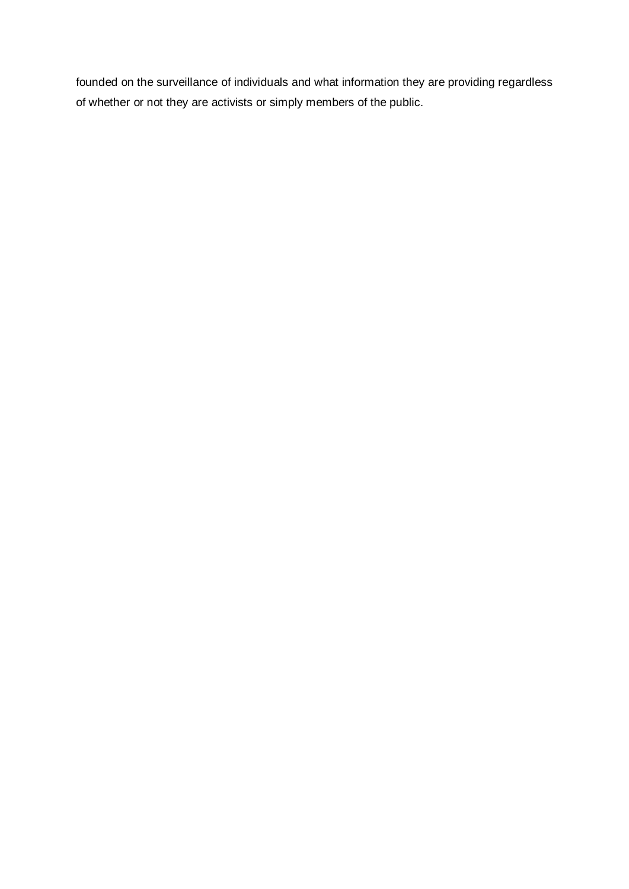founded on the surveillance of individuals and what information they are providing regardless of whether or not they are activists or simply members of the public.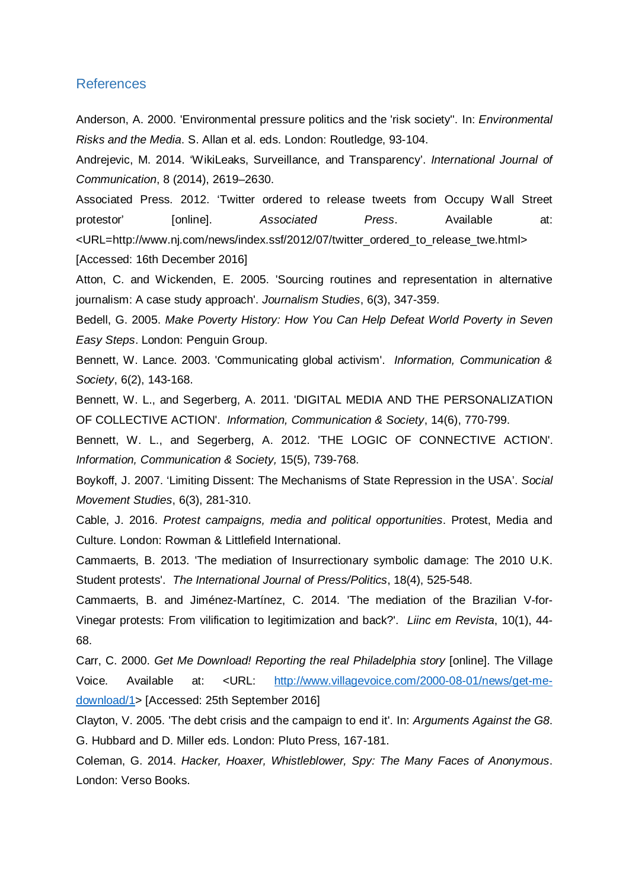#### References

Anderson, A. 2000. 'Environmental pressure politics and the 'risk society''. In: *Environmental Risks and the Media*. S. Allan et al. eds. London: Routledge, 93-104.

Andrejevic, M. 2014. 'WikiLeaks, Surveillance, and Transparency'. *International Journal of Communication*, 8 (2014), 2619–2630.

Associated Press. 2012. 'Twitter ordered to release tweets from Occupy Wall Street protestor' [online]. *Associated Press*. Available at: <URL=http://www.nj.com/news/index.ssf/2012/07/twitter\_ordered\_to\_release\_twe.html> [Accessed: 16th December 2016]

Atton, C. and Wickenden, E. 2005. 'Sourcing routines and representation in alternative journalism: A case study approach'. *Journalism Studies*, 6(3), 347-359.

Bedell, G. 2005. *Make Poverty History: How You Can Help Defeat World Poverty in Seven Easy Steps*. London: Penguin Group.

Bennett, W. Lance. 2003. 'Communicating global activism'. *Information, Communication & Society*, 6(2), 143-168.

Bennett, W. L., and Segerberg, A. 2011. 'DIGITAL MEDIA AND THE PERSONALIZATION OF COLLECTIVE ACTION'. *Information, Communication & Society*, 14(6), 770-799.

Bennett, W. L., and Segerberg, A. 2012. 'THE LOGIC OF CONNECTIVE ACTION'. *Information, Communication & Society,* 15(5), 739-768.

Boykoff, J. 2007. 'Limiting Dissent: The Mechanisms of State Repression in the USA'. *Social Movement Studies*, 6(3), 281-310.

Cable, J. 2016. *Protest campaigns, media and political opportunities*. Protest, Media and Culture. London: Rowman & Littlefield International.

Cammaerts, B. 2013. 'The mediation of Insurrectionary symbolic damage: The 2010 U.K. Student protests'. *The International Journal of Press/Politics*, 18(4), 525-548.

Cammaerts, B. and Jiménez-Martínez, C. 2014. 'The mediation of the Brazilian V-for-Vinegar protests: From vilification to legitimization and back?'. *Liinc em Revista*, 10(1), 44- 68.

Carr, C. 2000. *Get Me Download! Reporting the real Philadelphia story* [online]. The Village Voice. Available at: <URL: [http://www.villagevoice.com/2000-08-01/news/get-me](http://www.villagevoice.com/2000-08-01/news/get-me-download/1)[download/1>](http://www.villagevoice.com/2000-08-01/news/get-me-download/1) [Accessed: 25th September 2016]

Clayton, V. 2005. 'The debt crisis and the campaign to end it'. In: *Arguments Against the G8*. G. Hubbard and D. Miller eds. London: Pluto Press, 167-181.

Coleman, G. 2014. *Hacker, Hoaxer, Whistleblower, Spy: The Many Faces of Anonymous*. London: Verso Books.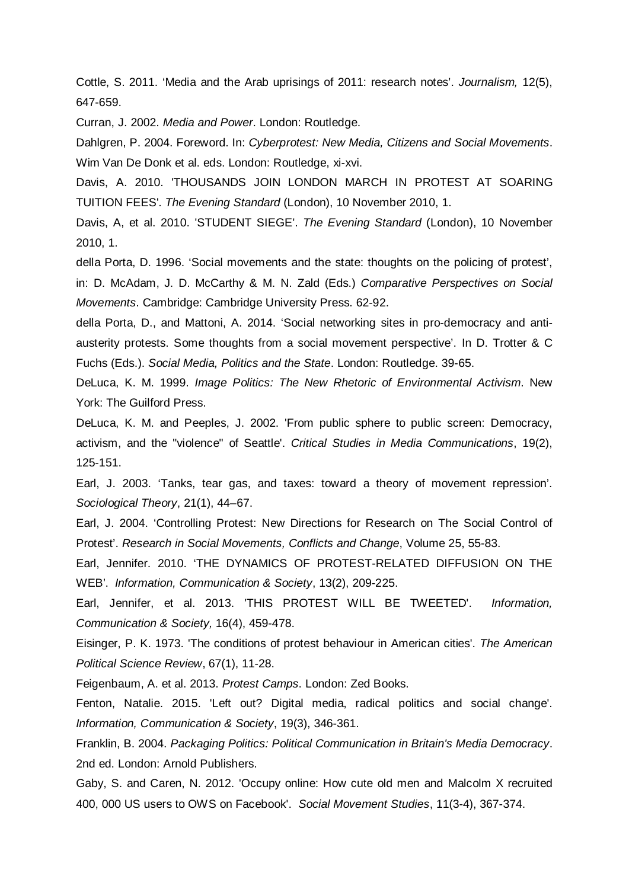Cottle, S. 2011. 'Media and the Arab uprisings of 2011: research notes'. *Journalism,* 12(5), 647-659.

Curran, J. 2002. *Media and Power*. London: Routledge.

Dahlgren, P. 2004. Foreword. In: *Cyberprotest: New Media, Citizens and Social Movements*. Wim Van De Donk et al. eds. London: Routledge, xi-xvi.

Davis, A. 2010. 'THOUSANDS JOIN LONDON MARCH IN PROTEST AT SOARING TUITION FEES'. *The Evening Standard* (London), 10 November 2010, 1.

Davis, A, et al. 2010. 'STUDENT SIEGE'. *The Evening Standard* (London), 10 November 2010, 1.

della Porta, D. 1996. 'Social movements and the state: thoughts on the policing of protest', in: D. McAdam, J. D. McCarthy & M. N. Zald (Eds.) *Comparative Perspectives on Social Movements*. Cambridge: Cambridge University Press. 62-92.

della Porta, D., and Mattoni, A. 2014. 'Social networking sites in pro-democracy and antiausterity protests. Some thoughts from a social movement perspective'. In D. Trotter & C Fuchs (Eds.). *Social Media, Politics and the State*. London: Routledge. 39-65.

DeLuca, K. M. 1999. *Image Politics: The New Rhetoric of Environmental Activism*. New York: The Guilford Press.

DeLuca, K. M. and Peeples, J. 2002. 'From public sphere to public screen: Democracy, activism, and the "violence" of Seattle'. *Critical Studies in Media Communications*, 19(2), 125-151.

Earl, J. 2003. 'Tanks, tear gas, and taxes: toward a theory of movement repression'. *Sociological Theory*, 21(1), 44–67.

Earl, J. 2004. 'Controlling Protest: New Directions for Research on The Social Control of Protest'. *Research in Social Movements, Conflicts and Change*, Volume 25, 55-83.

Earl, Jennifer. 2010. 'THE DYNAMICS OF PROTEST-RELATED DIFFUSION ON THE WEB'. *Information, Communication & Society*, 13(2), 209-225.

Earl, Jennifer, et al. 2013. 'THIS PROTEST WILL BE TWEETED'. *Information, Communication & Society,* 16(4), 459-478.

Eisinger, P. K. 1973. 'The conditions of protest behaviour in American cities'. *The American Political Science Review*, 67(1), 11-28.

Feigenbaum, A. et al. 2013. *Protest Camps*. London: Zed Books.

Fenton, Natalie. 2015. 'Left out? Digital media, radical politics and social change'. *Information, Communication & Society*, 19(3), 346-361.

Franklin, B. 2004. *Packaging Politics: Political Communication in Britain's Media Democracy*. 2nd ed. London: Arnold Publishers.

Gaby, S. and Caren, N. 2012. 'Occupy online: How cute old men and Malcolm X recruited 400, 000 US users to OWS on Facebook'. *Social Movement Studies*, 11(3-4), 367-374.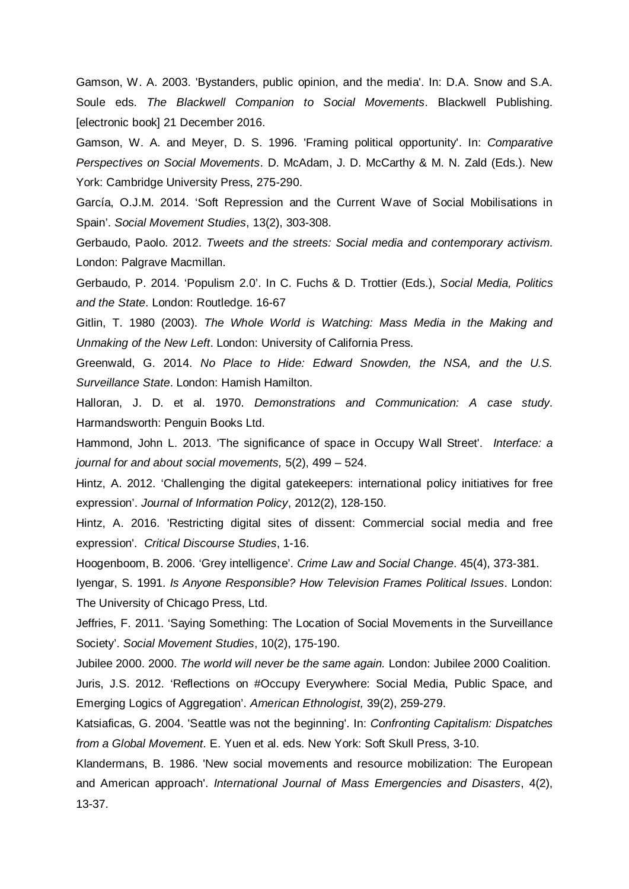Gamson, W. A. 2003. 'Bystanders, public opinion, and the media'. In: D.A. Snow and S.A. Soule eds. *The Blackwell Companion to Social Movements*. Blackwell Publishing. [electronic book] 21 December 2016.

Gamson, W. A. and Meyer, D. S. 1996. 'Framing political opportunity'. In: *Comparative Perspectives on Social Movements*. D. McAdam, J. D. McCarthy & M. N. Zald (Eds.). New York: Cambridge University Press, 275-290.

García, O.J.M. 2014. 'Soft Repression and the Current Wave of Social Mobilisations in Spain'. *Social Movement Studies*, 13(2), 303-308.

Gerbaudo, Paolo. 2012. *Tweets and the streets: Social media and contemporary activism*. London: Palgrave Macmillan.

Gerbaudo, P. 2014. 'Populism 2.0'. In C. Fuchs & D. Trottier (Eds.), *Social Media, Politics and the State*. London: Routledge. 16-67

Gitlin, T. 1980 (2003). *The Whole World is Watching: Mass Media in the Making and Unmaking of the New Left*. London: University of California Press.

Greenwald, G. 2014. *No Place to Hide: Edward Snowden, the NSA, and the U.S. Surveillance State*. London: Hamish Hamilton.

Halloran, J. D. et al. 1970. *Demonstrations and Communication: A case study*. Harmandsworth: Penguin Books Ltd.

Hammond, John L. 2013. 'The significance of space in Occupy Wall Street'. *Interface: a journal for and about social movements,* 5(2), 499 – 524.

Hintz, A. 2012. 'Challenging the digital gatekeepers: international policy initiatives for free expression'. *Journal of Information Policy*, 2012(2), 128-150.

Hintz, A. 2016. 'Restricting digital sites of dissent: Commercial social media and free expression'. *Critical Discourse Studies*, 1-16.

Hoogenboom, B. 2006. 'Grey intelligence'. *Crime Law and Social Change*. 45(4), 373-381.

Iyengar, S. 1991. *Is Anyone Responsible? How Television Frames Political Issues*. London: The University of Chicago Press, Ltd.

Jeffries, F. 2011. 'Saying Something: The Location of Social Movements in the Surveillance Society'. *Social Movement Studies*, 10(2), 175-190.

Jubilee 2000. 2000. *The world will never be the same again.* London: Jubilee 2000 Coalition.

Juris, J.S. 2012. 'Reflections on #Occupy Everywhere: Social Media, Public Space, and Emerging Logics of Aggregation'. *American Ethnologist,* 39(2), 259-279.

Katsiaficas, G. 2004. 'Seattle was not the beginning'. In: *Confronting Capitalism: Dispatches from a Global Movement*. E. Yuen et al. eds. New York: Soft Skull Press, 3-10.

Klandermans, B. 1986. 'New social movements and resource mobilization: The European and American approach'. *International Journal of Mass Emergencies and Disasters*, 4(2), 13-37.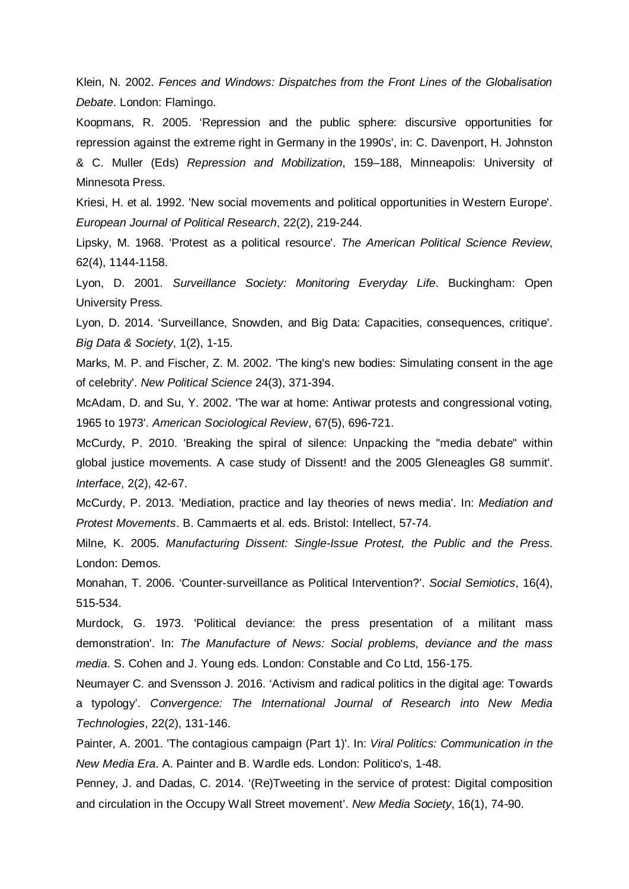Klein, N. 2002. *Fences and Windows: Dispatches from the Front Lines of the Globalisation Debate*. London: Flamingo.

Koopmans, R. 2005. 'Repression and the public sphere: discursive opportunities for repression against the extreme right in Germany in the 1990s', in: C. Davenport, H. Johnston

& C. Muller (Eds) *Repression and Mobilization*, 159–188, Minneapolis: University of Minnesota Press.

Kriesi, H. et al. 1992. 'New social movements and political opportunities in Western Europe'. *European Journal of Political Research*, 22(2), 219-244.

Lipsky, M. 1968. 'Protest as a political resource'. *The American Political Science Review*, 62(4), 1144-1158.

Lyon, D. 2001. *Surveillance Society: Monitoring Everyday Life*. Buckingham: Open University Press.

Lyon, D. 2014. 'Surveillance, Snowden, and Big Data: Capacities, consequences, critique'. *Big Data & Society*, 1(2), 1-15.

Marks, M. P. and Fischer, Z. M. 2002. 'The king's new bodies: Simulating consent in the age of celebrity'. *New Political Science* 24(3), 371-394.

McAdam, D. and Su, Y. 2002. 'The war at home: Antiwar protests and congressional voting, 1965 to 1973'. *American Sociological Review*, 67(5), 696-721.

McCurdy, P. 2010. 'Breaking the spiral of silence: Unpacking the "media debate" within global justice movements. A case study of Dissent! and the 2005 Gleneagles G8 summit'. *Interface*, 2(2), 42-67.

McCurdy, P. 2013. 'Mediation, practice and lay theories of news media'. In: *Mediation and Protest Movements*. B. Cammaerts et al. eds. Bristol: Intellect, 57-74.

Milne, K. 2005. *Manufacturing Dissent: Single-Issue Protest, the Public and the Press*. London: Demos.

Monahan, T. 2006. 'Counter-surveillance as Political Intervention?'. *Social Semiotics*, 16(4), 515-534.

Murdock, G. 1973. 'Political deviance: the press presentation of a militant mass demonstration'. In: *The Manufacture of News: Social problems, deviance and the mass media*. S. Cohen and J. Young eds. London: Constable and Co Ltd, 156-175.

Neumayer C. and Svensson J. 2016. 'Activism and radical politics in the digital age: Towards a typology'. *Convergence: The International Journal of Research into New Media Technologies*, 22(2), 131-146.

Painter, A. 2001. 'The contagious campaign (Part 1)'. In: *Viral Politics: Communication in the New Media Era*. A. Painter and B. Wardle eds. London: Politico's, 1-48.

Penney, J. and Dadas, C. 2014. '(Re)Tweeting in the service of protest: Digital composition and circulation in the Occupy Wall Street movement'. *New Media Society*, 16(1), 74-90.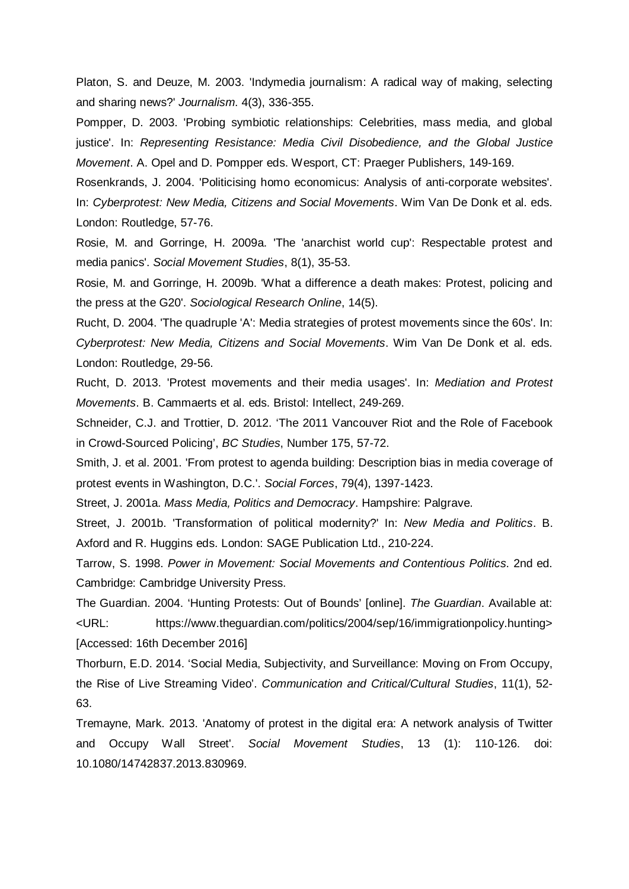Platon, S. and Deuze, M. 2003. 'Indymedia journalism: A radical way of making, selecting and sharing news?' *Journalism*. 4(3), 336-355.

Pompper, D. 2003. 'Probing symbiotic relationships: Celebrities, mass media, and global justice'. In: *Representing Resistance: Media Civil Disobedience, and the Global Justice Movement*. A. Opel and D. Pompper eds. Wesport, CT: Praeger Publishers, 149-169.

Rosenkrands, J. 2004. 'Politicising homo economicus: Analysis of anti-corporate websites'. In: *Cyberprotest: New Media, Citizens and Social Movements*. Wim Van De Donk et al. eds. London: Routledge, 57-76.

Rosie, M. and Gorringe, H. 2009a. 'The 'anarchist world cup': Respectable protest and media panics'. *Social Movement Studies*, 8(1), 35-53.

Rosie, M. and Gorringe, H. 2009b. 'What a difference a death makes: Protest, policing and the press at the G20'. *Sociological Research Online*, 14(5).

Rucht, D. 2004. 'The quadruple 'A': Media strategies of protest movements since the 60s'. In: *Cyberprotest: New Media, Citizens and Social Movements*. Wim Van De Donk et al. eds. London: Routledge, 29-56.

Rucht, D. 2013. 'Protest movements and their media usages'. In: *Mediation and Protest Movements*. B. Cammaerts et al. eds. Bristol: Intellect, 249-269.

Schneider, C.J. and Trottier, D. 2012. 'The 2011 Vancouver Riot and the Role of Facebook in Crowd-Sourced Policing', *BC Studies*, Number 175, 57-72.

Smith, J. et al. 2001. 'From protest to agenda building: Description bias in media coverage of protest events in Washington, D.C.'. *Social Forces*, 79(4), 1397-1423.

Street, J. 2001a. *Mass Media, Politics and Democracy*. Hampshire: Palgrave.

Street, J. 2001b. 'Transformation of political modernity?' In: *New Media and Politics*. B. Axford and R. Huggins eds. London: SAGE Publication Ltd., 210-224.

Tarrow, S. 1998. *Power in Movement: Social Movements and Contentious Politics*. 2nd ed. Cambridge: Cambridge University Press.

The Guardian. 2004. 'Hunting Protests: Out of Bounds' [online]. *The Guardian*. Available at: <URL: https://www.theguardian.com/politics/2004/sep/16/immigrationpolicy.hunting> [Accessed: 16th December 2016]

Thorburn, E.D. 2014. 'Social Media, Subjectivity, and Surveillance: Moving on From Occupy, the Rise of Live Streaming Video'. *Communication and Critical/Cultural Studies*, 11(1), 52- 63.

Tremayne, Mark. 2013. 'Anatomy of protest in the digital era: A network analysis of Twitter and Occupy Wall Street'. *Social Movement Studies*, 13 (1): 110-126. doi: 10.1080/14742837.2013.830969.